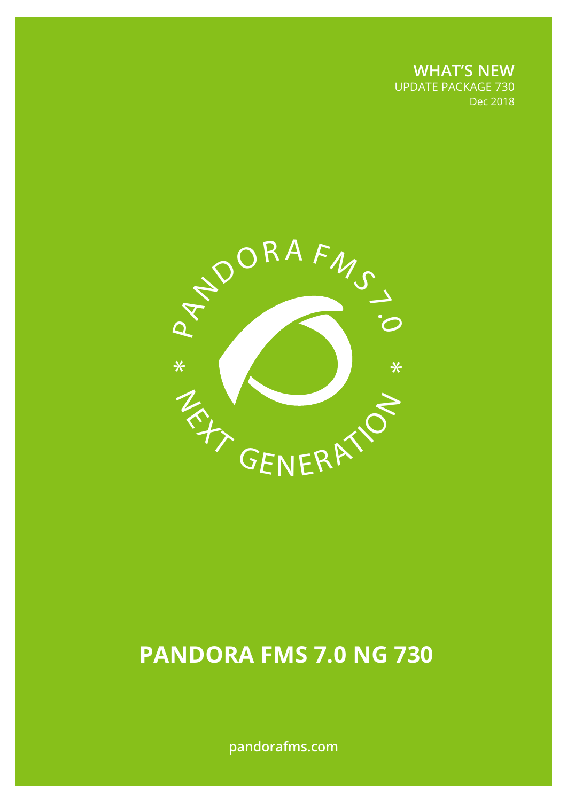**WHAT'S NEW** UPDATE PACKAGE 730 Dec 2018



# **PANDORA FMS 7.0 NG 730**

**pandorafms.com**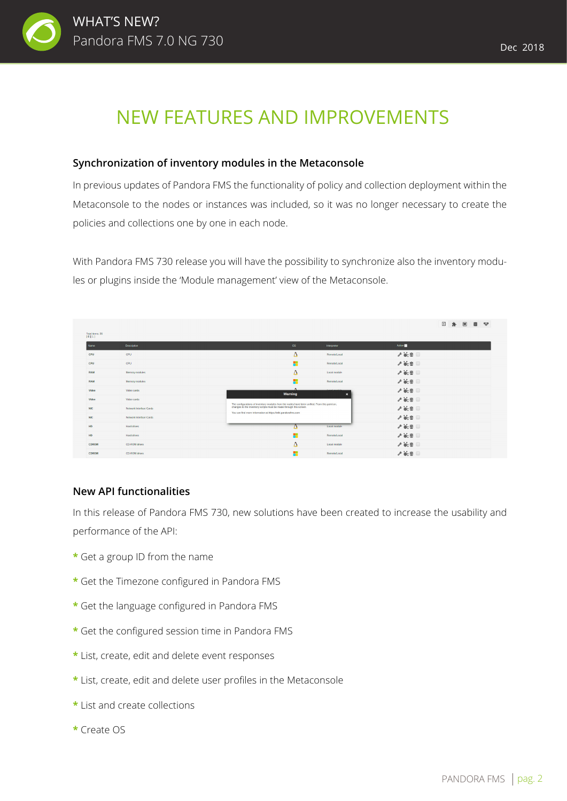

## NEW FEATURES AND IMPROVEMENTS

#### **Synchronization of inventory modules in the Metaconsole**

In previous updates of Pandora FMS the functionality of policy and collection deployment within the Metaconsole to the nodes or instances was included, so it was no longer necessary to create the policies and collections one by one in each node.

With Pandora FMS 730 release you will have the possibility to synchronize also the inventory modules or plugins inside the 'Module management' view of the Metaconsole.

|                             |                         |                                                                                                                                    |                                                         | ⊠                               | $\blacksquare$<br>目<br>ᄛ<br>走. |
|-----------------------------|-------------------------|------------------------------------------------------------------------------------------------------------------------------------|---------------------------------------------------------|---------------------------------|--------------------------------|
| Total items: 36<br>$[0][1]$ |                         |                                                                                                                                    |                                                         |                                 |                                |
| Name                        | <b>Description</b>      | OS                                                                                                                                 | Interpreter                                             | Action                          |                                |
| CPU                         | CPU                     | Δ                                                                                                                                  | Remote Local                                            | $\mathscr{F}$ is $\Box$         |                                |
| CPU                         | CPU                     | н.                                                                                                                                 | Remote Local                                            | $\mathscr{F}$ is $\blacksquare$ |                                |
| <b>RAM</b>                  | Memory modules          | Δ                                                                                                                                  | Local module                                            | $\mathscr{F}$ on $\Box$         |                                |
| <b>RAM</b>                  | Memory modules          | н                                                                                                                                  | Remoted.ocal                                            | $\mathscr{F}$ is $\blacksquare$ |                                |
| Video                       | Video cards             | $\bullet$<br>Warning                                                                                                               | <b>Alleged accounts to</b><br>$\boldsymbol{\mathsf{x}}$ | $\mathscr{F}$ of $\Box$         |                                |
| Video                       | Video cards             | The configurations of inventory modules from the nodes have been unified. From this point on.                                      |                                                         | $\mathscr{F}$ of $\Box$         |                                |
| <b>NIC</b>                  | Network Interface Cards | changes to the inventory scripts must be made through this screen.<br>You can find more information at https://wiki.pandorafms.com |                                                         | $\mathscr{F}$ is $\blacksquare$ |                                |
| <b>NIC</b>                  | Network Interface Cards |                                                                                                                                    |                                                         | $\mathscr{F}$ is $\blacksquare$ |                                |
| HD.                         | Hard drives             |                                                                                                                                    | Local module                                            | $\mathscr{S}$ of $\Box$         |                                |
| HD                          | Hard drives             |                                                                                                                                    | Remoted.ocal                                            | $\mathscr{S}$ of $\Box$         |                                |
| <b>CDROM</b>                | CD-ROM drives           | Δ                                                                                                                                  | Local module                                            | $\mathscr{S}$ is $\Box$         |                                |
| <b>CDROM</b>                | <b>CD-ROM</b> drives    | н                                                                                                                                  | Remote/Local                                            | $\mathscr{S}$ is $\blacksquare$ |                                |

#### **New API functionalities**

In this release of Pandora FMS 730, new solutions have been created to increase the usability and performance of the API:

- **\*** Get a group ID from the name
- **\*** Get the Timezone configured in Pandora FMS
- **\*** Get the language configured in Pandora FMS
- **\*** Get the configured session time in Pandora FMS
- **\*** List, create, edit and delete event responses
- **\*** List, create, edit and delete user profiles in the Metaconsole
- **\*** List and create collections
- **\*** Create OS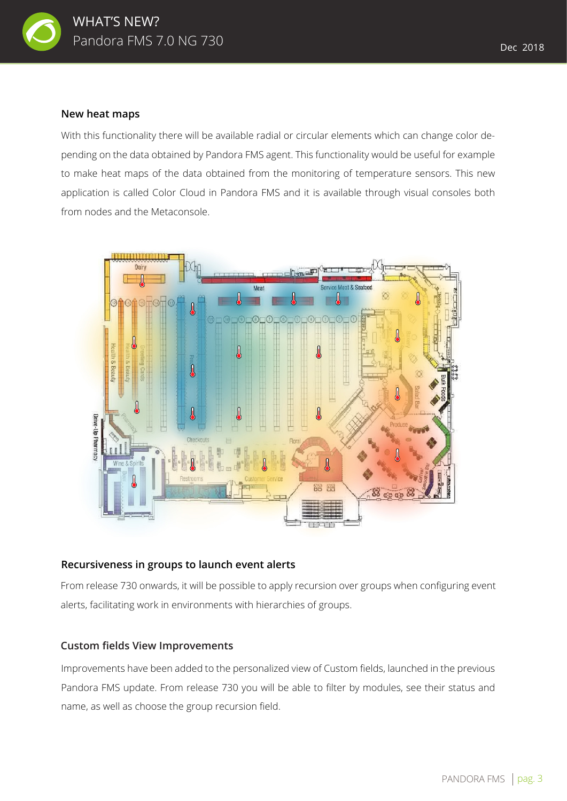

With this functionality there will be available radial or circular elements which can change color depending on the data obtained by Pandora FMS agent. This functionality would be useful for example to make heat maps of the data obtained from the monitoring of temperature sensors. This new application is called Color Cloud in Pandora FMS and it is available through visual consoles both from nodes and the Metaconsole.



#### **Recursiveness in groups to launch event alerts**

From release 730 onwards, it will be possible to apply recursion over groups when configuring event alerts, facilitating work in environments with hierarchies of groups.

#### **Custom fields View Improvements**

Improvements have been added to the personalized view of Custom fields, launched in the previous Pandora FMS update. From release 730 you will be able to filter by modules, see their status and name, as well as choose the group recursion field.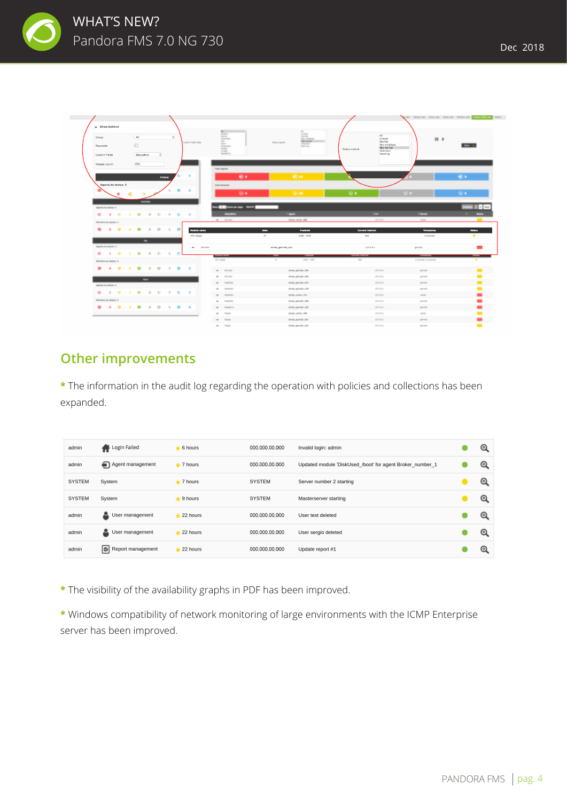



### **Other improvements**

**\*** The information in the audit log regarding the operation with policies and collections has been expanded.

| admin         | Login Failed         | $\div$ 6 hours  | 000.000.00.000 | Invalid login: admin                                      |         |
|---------------|----------------------|-----------------|----------------|-----------------------------------------------------------|---------|
| admin         | Agent management     | $+7$ hours      | 000.000.00.000 | Updated module 'DiskUsed /boot' for agent Broker number 1 | Q       |
| <b>SYSTEM</b> | System               | $+7$ hours      | <b>SYSTEM</b>  | Server number 2 starting                                  | O       |
| <b>SYSTEM</b> | System               | $+9$ hours      | <b>SYSTEM</b>  | <b>Masterserver starting</b>                              | $\circ$ |
| admin         | 즈<br>User management | $\div$ 22 hours | 000.000.00.000 | User test deleted                                         | Q       |
| admin         | User management<br>ᇰ | $\div$ 22 hours | 000.000.00.000 | User sergio deleted                                       | O       |
| admin         | Report management    | $+22$ hours     | 000.000.00.000 | Update report #1                                          | O       |

**\*** The visibility of the availability graphs in PDF has been improved.

**\*** Windows compatibility of network monitoring of large environments with the ICMP Enterprise server has been improved.